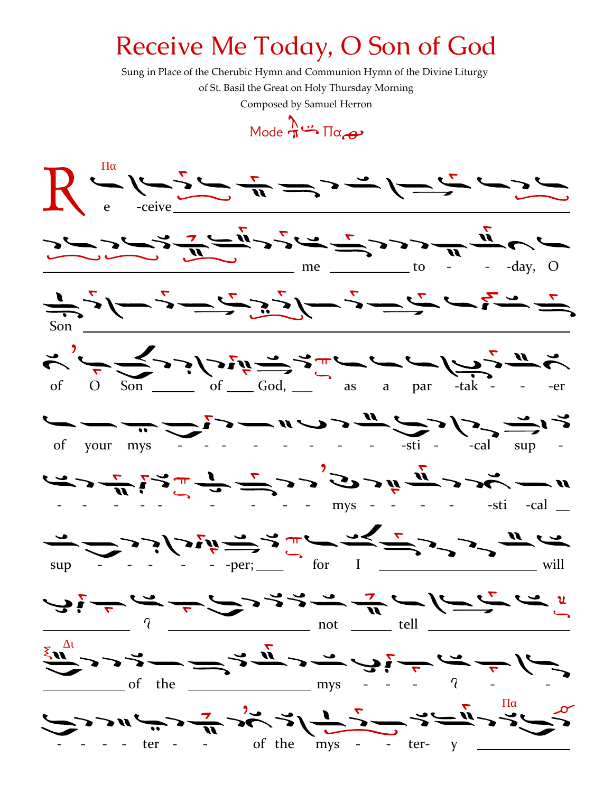## Receive Me Today, O Son of God

Sung in Place of the Cherubic Hymn and Communion Hymn of the Divine Liturgy

of St. Basil the Great on Holy Thursday Morning

Composed by Samuel Herron

 $Mode \xrightarrow{\Lambda} \Box \wedge \Box \wedge \rightarrow$ 

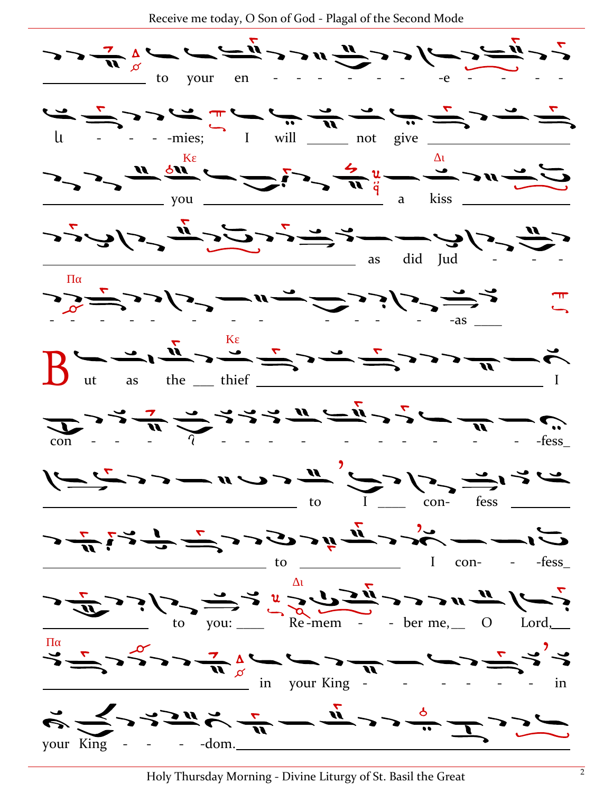Receive me today, O Son of God - Plagal of the Second Mode



Holy Thursday Morning - Divine Liturgy of St. Basil the Great